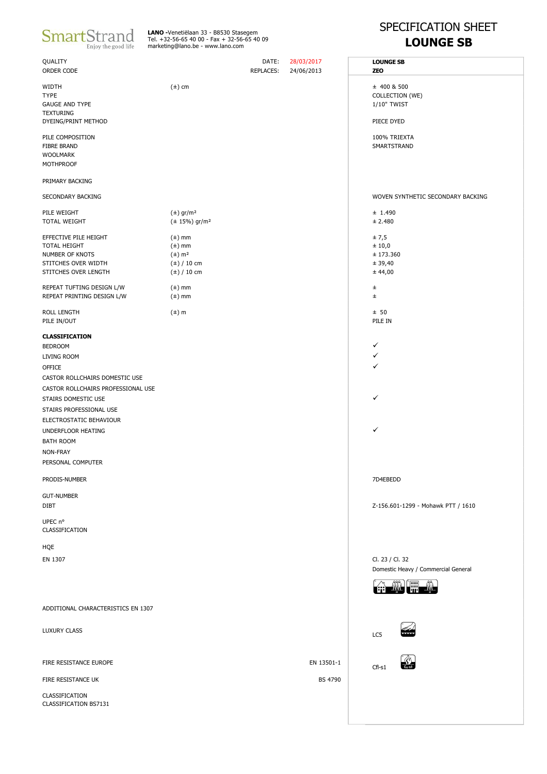| <b>SmartStrand</b>  |
|---------------------|
| Enjoy the good life |

**LANO -**Venetiëlaan 33 - B8530 Stasegem<br>Tel. +32-56-65 40 00 - Fax + 32-56-65 40 09<br>marketing@lano.be - www.lano.com

## SPECIFICATION SHEET **LOUNGE SB**

| QUALITY<br>ORDER CODE                   |                                | DATE:<br><b>REPLACES:</b> | 28/03/2017<br>24/06/2013 | <b>LOUNGE SB</b><br><b>ZEO</b>      |
|-----------------------------------------|--------------------------------|---------------------------|--------------------------|-------------------------------------|
| WIDTH                                   | $(\pm)$ cm                     |                           |                          | $±$ 400 & 500                       |
| <b>TYPE</b>                             |                                |                           |                          | COLLECTION (WE)                     |
| <b>GAUGE AND TYPE</b>                   |                                |                           |                          | 1/10" TWIST                         |
| <b>TEXTURING</b><br>DYEING/PRINT METHOD |                                |                           |                          | PIECE DYED                          |
| PILE COMPOSITION                        |                                |                           |                          | 100% TRIEXTA                        |
| <b>FIBRE BRAND</b>                      |                                |                           |                          | SMARTSTRAND                         |
| <b>WOOLMARK</b>                         |                                |                           |                          |                                     |
| MOTHPROOF                               |                                |                           |                          |                                     |
| PRIMARY BACKING                         |                                |                           |                          |                                     |
| SECONDARY BACKING                       |                                |                           |                          | WOVEN SYNTHETIC SECONDARY BACKING   |
| PILE WEIGHT                             | $(\pm)$ gr/m <sup>2</sup>      |                           |                          | ± 1.490                             |
| TOTAL WEIGHT                            | $(\pm 15\%)$ gr/m <sup>2</sup> |                           |                          | ± 2.480                             |
| EFFECTIVE PILE HEIGHT                   | $(\pm)$ mm                     |                           |                          | ± 7,5                               |
| TOTAL HEIGHT                            | $(\pm)$ mm                     |                           |                          | ± 10,0                              |
| NUMBER OF KNOTS                         | $(\pm)$ m <sup>2</sup>         |                           |                          | ± 173.360                           |
| STITCHES OVER WIDTH                     | $(\pm)$ / 10 cm                |                           |                          | ± 39,40                             |
| STITCHES OVER LENGTH                    | $(\pm)$ / 10 cm                |                           |                          | ± 44,00                             |
|                                         |                                |                           |                          |                                     |
| REPEAT TUFTING DESIGN L/W               | $(\pm)$ mm                     |                           |                          | ±.                                  |
| REPEAT PRINTING DESIGN L/W              | $(\pm)$ mm                     |                           |                          | $_{\pm}$                            |
| ROLL LENGTH                             | $(\pm)$ m                      |                           |                          | ± 50                                |
| PILE IN/OUT                             |                                |                           |                          | PILE IN                             |
|                                         |                                |                           |                          |                                     |
| <b>CLASSIFICATION</b>                   |                                |                           |                          |                                     |
| <b>BEDROOM</b>                          |                                |                           |                          | ✓                                   |
| LIVING ROOM                             |                                |                           |                          | ✓                                   |
| <b>OFFICE</b>                           |                                |                           |                          | ✓                                   |
| CASTOR ROLLCHAIRS DOMESTIC USE          |                                |                           |                          |                                     |
| CASTOR ROLLCHAIRS PROFESSIONAL USE      |                                |                           |                          |                                     |
| STAIRS DOMESTIC USE                     |                                |                           |                          | ✓                                   |
| STAIRS PROFESSIONAL USE                 |                                |                           |                          |                                     |
|                                         |                                |                           |                          |                                     |
| ELECTROSTATIC BEHAVIOUR                 |                                |                           |                          |                                     |
| UNDERFLOOR HEATING                      |                                |                           |                          | ✓                                   |
| <b>BATH ROOM</b>                        |                                |                           |                          |                                     |
| NON-FRAY                                |                                |                           |                          |                                     |
| PERSONAL COMPUTER                       |                                |                           |                          |                                     |
| PRODIS-NUMBER                           |                                |                           |                          | 7D4EBEDD                            |
|                                         |                                |                           |                          |                                     |
| <b>GUT-NUMBER</b>                       |                                |                           |                          |                                     |
| <b>DIBT</b>                             |                                |                           |                          | Z-156.601-1299 - Mohawk PTT / 1610  |
| UPEC n°                                 |                                |                           |                          |                                     |
| CLASSIFICATION                          |                                |                           |                          |                                     |
|                                         |                                |                           |                          |                                     |
| HQE                                     |                                |                           |                          |                                     |
| EN 1307                                 |                                |                           |                          | Cl. 23 / Cl. 32                     |
|                                         |                                |                           |                          | Domestic Heavy / Commercial General |
|                                         |                                |                           |                          |                                     |
|                                         |                                |                           |                          | <b>ANAS I</b>                       |
| ADDITIONAL CHARACTERISTICS EN 1307      |                                |                           |                          |                                     |
|                                         |                                |                           |                          |                                     |
| <b>LUXURY CLASS</b>                     |                                |                           |                          |                                     |
|                                         |                                |                           |                          | LC5                                 |
|                                         |                                |                           |                          |                                     |
| FIRE RESISTANCE EUROPE                  |                                |                           | EN 13501-1               | Cfl-s1                              |
| FIRE RESISTANCE UK                      |                                |                           | <b>BS 4790</b>           |                                     |
| CLASSIFICATION<br>CLASSIFICATION BS7131 |                                |                           |                          |                                     |